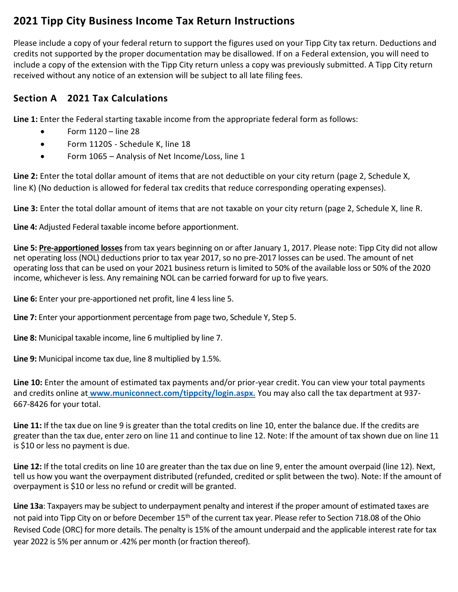## **2021 Tipp City Business Income Tax Return Instructions**

Please include a copy of your federal return to support the figures used on your Tipp City tax return. Deductions and credits not supported by the proper documentation may be disallowed. If on a Federal extension, you will need to include a copy of the extension with the Tipp City return unless a copy was previously submitted. A Tipp City return received without any notice of an extension will be subject to all late filing fees.

## **Section A 2021 Tax Calculations**

**Line 1:** Enter the Federal starting taxable income from the appropriate federal form as follows:

- $\bullet$  Form 1120 line 28
- Form 1120S Schedule K, line 18
- Form 1065 Analysis of Net Income/Loss, line 1

**Line 2:** Enter the total dollar amount of items that are not deductible on your city return (page 2, Schedule X, line K) (No deduction is allowed for federal tax credits that reduce corresponding operating expenses).

**Line 3:** Enter the total dollar amount of items that are not taxable on your city return (page 2, Schedule X, line R.

**Line 4:** Adjusted Federal taxable income before apportionment.

**Line 5: Pre-apportioned losses**from tax years beginning on or after January 1, 2017. Please note: Tipp City did not allow net operating loss (NOL) deductions prior to tax year 2017, so no pre-2017 losses can be used. The amount of net operating loss that can be used on your 2021 business return is limited to 50% of the available loss or 50% of the 2020 income, whichever is less. Any remaining NOL can be carried forward for up to five years.

**Line 6:** Enter your pre-apportioned net profit, line 4 less line 5.

**Line 7:** Enter your apportionment percentage from page two, Schedule Y, Step 5.

**Line 8:** Municipal taxable income, line 6 multiplied by line 7.

**Line 9:** Municipal income tax due, line 8 multiplied by 1.5%.

**Line 10:** Enter the amount of estimated tax payments and/or prior-year credit. You can view your total payments and credits online at **[www.municonnect.com/tippcity/login.aspx.](http://www.municonnect.com/tippcity/login.aspx.)** You may also call the tax department at 937- 667-8426 for your total.

**Line 11:** If the tax due on line 9 is greater than the total credits on line 10, enter the balance due. If the credits are greater than the tax due, enter zero on line 11 and continue to line 12. Note: If the amount of tax shown due on line 11 is \$10 or less no payment is due.

**Line 12:** If the total credits on line 10 are greater than the tax due on line 9, enter the amount overpaid (line 12). Next, tell us how you want the overpayment distributed (refunded, credited or split between the two). Note: If the amount of overpayment is \$10 or less no refund or credit will be granted.

**Line 13a**: Taxpayers may be subject to underpayment penalty and interest if the proper amount of estimated taxes are not paid into Tipp City on or before December 15<sup>th</sup> of the current tax year. Please refer to Section 718.08 of the Ohio Revised Code (ORC) for more details. The penalty is 15% of the amount underpaid and the applicable interest rate for tax year 2022 is 5% per annum or .42% per month (or fraction thereof).